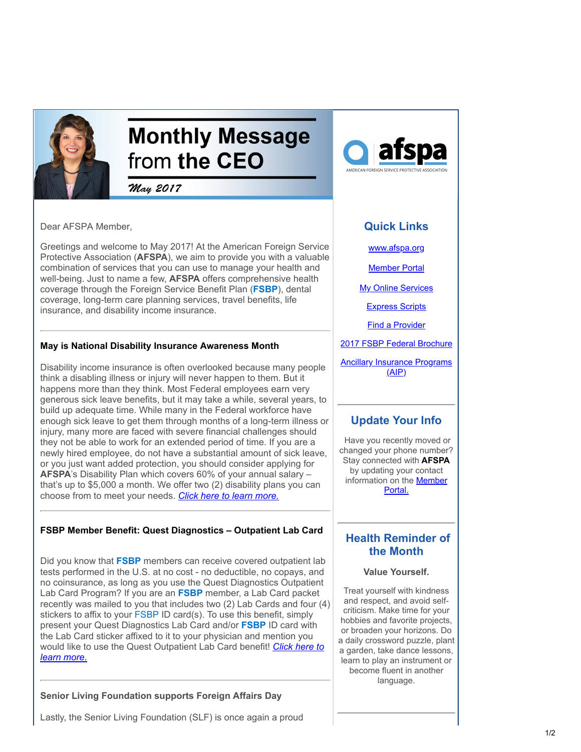

# **Monthly Message** from the CEO

May 2017

Dear AFSPA Member,

Greetings and welcome to May 2017! At the American Foreign Service Protective Association (**AFSPA**), we aim to provide you with a valuable combination of services that you can use to manage your health and well-being. Just to name a few, **AFSPA** offers comprehensive health coverage through the Foreign Service Benefit Plan (**FSBP**), dental coverage, long-term care planning services, travel benefits, life insurance, and disability income insurance.

#### **May is National Disability Insurance Awareness Month**

Disability income insurance is often overlooked because many people think a disabling illness or injury will never happen to them. But it happens more than they think. Most Federal employees earn very generous sick leave benefits, but it may take a while, several years, to build up adequate time. While many in the Federal workforce have enough sick leave to get them through months of a long-term illness or injury, many more are faced with severe financial challenges should they not be able to work for an extended period of time. If you are a newly hired employee, do not have a substantial amount of sick leave, or you just want added protection, you should consider applying for **AFSPA**'s Disability Plan which covers 60% of your annual salary – that's up to \$5,000 a month. We offer two (2) disability plans you can choose from to meet your needs. *[Click here to learn more.](https://www.afspa.org/aip_detail.cfm?page=Disability&utm_source=Email_marketing_CEO_Message_May2017&utm_campaign=CEO_Message_May_2017&cmp=1&utm_medium=HTMLEmail)*

### **FSBP Member Benefit: Quest Diagnostics – Outpatient Lab Card**

Did you know that **FSBP** members can receive covered outpatient lab tests performed in the U.S. at no cost - no deductible, no copays, and no coinsurance, as long as you use the Quest Diagnostics Outpatient Lab Card Program? If you are an **FSBP** member, a Lab Card packet recently was mailed to you that includes two (2) Lab Cards and four (4) stickers to affix to your FSBP ID card(s). To use this benefit, simply present your Quest Diagnostics Lab Card and/or **FSBP** ID card with the Lab Card sticker affixed to it to your physician and mention you [would like to use the Quest Outpatient Lab Card benefit!](https://www.afspa.org/filestoreAFSPA/QuestDiagnosticLabCardInfo.pdf?utm_source=Email_marketing_CEO_Message_May2017&utm_campaign=CEO_Message_May_2017&cmp=1&utm_medium=HTMLEmail) *Click here to learn more.*

### **Senior Living Foundation supports Foreign Affairs Day**



## **Quick Links**

[www.afspa.org](http://www.afspa.org/?utm_source=Email_marketing_CEO_Message_May2017&utm_campaign=Monday_April_24_2017&cmp=1&utm_medium=HTMLEmail)

[Member Portal](https://secure.myafspa.org/?utm_source=Email_marketing_CEO_Message_May2017&utm_campaign=Monday_April_24_2017&cmp=1&utm_medium=HTMLEmail)

**[My Online Services](https://member.cvty.com/memberPortalWeb/appmanager/memberPortal/member?utm_source=Email_marketing_CEO_Message_May2017&utm_campaign=Monday_April_24_2017&cmp=1&utm_medium=HTMLEmail)** 

[Express Scripts](https://www.express-scripts.com/consumer/site/home?partner=FSBP&accessLink=FSBPDCC&utm_source=Email_marketing_CEO_Message_May2017&utm_source=Email_marketing_CEO_Message_May2017&utm_campaign=Monday_April_24_2017&utm_campaign=Monday_April_24_2017&cmp=1&cmp=1&utm_medium=HTMLEmail&utm_medium=HTMLEmail&utm_source=Email_marketing_CEO_Message_May2017&utm_campaign=CEO_Message_May_2017&cmp=1&utm_medium=HTMLEmail)

[Find a Provider](http://fsbp.coventryhealthcare.com/member-support/locate-a-provider/index.htm?utm_source=Email_marketing_CEO_Message_May2017&utm_campaign=Monday_April_24_2017&cmp=1&utm_medium=HTMLEmail)

[2017 FSBP Federal Brochure](https://www.afspa.org/filestoreAFSPA/2017RI72-001FSBPBrochure.pdf?utm_source=Email_marketing_CEO_Message_May2017&utm_campaign=Monday_April_24_2017&cmp=1&utm_medium=HTMLEmail)

**[Ancillary Insurance Programs](https://www.afspa.org/aip_home.cfm?utm_source=Email_marketing_CEO_Message_May2017&utm_campaign=Monday_April_24_2017&cmp=1&utm_medium=HTMLEmail)**  $(AIP)$ 

## **Update Your Info**

 Have you recently moved or changed your phone number? Stay connected with **AFSPA** by updating your contact information on the **Member** Portal.

## **Health Reminder of the Month**

#### **Value Yourself.**

Treat yourself with kindness and respect, and avoid selfcriticism. Make time for your hobbies and favorite projects, or broaden your horizons. Do a daily crossword puzzle, plant a garden, take dance lessons, learn to play an instrument or become fluent in another language.